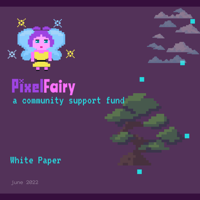

# **PixelFairy**<br>a community support fund

### White Paper

june 2022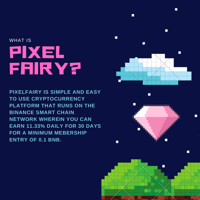# PIXEL **FRIRY?** WHAT IS

**PIXELFAIRY IS SIMPLE AND EASY TO USE CRYPTOCURRENCY PLATFORM THAT RUNS ON THE BINANCE SMART CHAIN NETWORK WHEREIN YOU CAN EARN 11.33% DAILY FOR 30 DAYS FOR A MINIMUM MEBERSHIP ENTRY OF 0.1 BNB.**



г

и



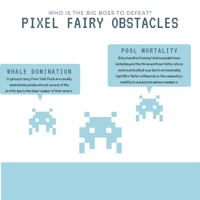## PIXEL FAIRY OBSTACLES WHO IS THE BIG BOSS TO DEFEAT?

#### WHALE DOMINATION

Cryptocurrency Farm Yield Pools are usually dominated by whales who eat up most of the profits due to the sheer number of their miners.

#### POOL MORTALITY

Only a handful of mining/staking models have lasted beyond the three month mortality rate as pools eventually dry up due to unreasonably high ROI or Referral Rewards or the community's inability to expand and add more members.

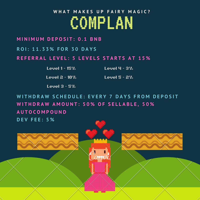## COMPLAN **W H A T M A K E S U P F A I R Y M A G I C ?**

#### **M I N I M U M D E P O S I T : 0 . 1 B N B**

**R O I : 1 1 . 3 3 % F O R 3 0 D A Y S**

REFERRAL LEVEL: 5 LEVELS STARTS AT 15%

Level 1 - 15% Level 4 - 3%

Level  $2 - 19%$  $\blacksquare$  Level  $S$  -  $2\%$ 

Level 3 - 5%

WITHDRAW SCHEDULE: EVERY 7 DAYS FROM DEPOSIT WITHDRAW AMOUNT: 50% OF SELLABLE, 50% **A U T O C O M P O U N D D E V F E E : 5 %**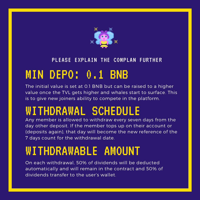

#### PLEASE EXPLAIN THE COMPLAN FURTHER

# MIN DEPO: 0.1 BNB

The initial value is set at 0.1 BNB but can be raised to a higher value once the TVL gets higher and whales start to surface. This is to give new joiners ability to compete in the platform.

# WITHDRAWAL SCHEDULE

Any member is allowed to withdraw every seven days from the day other deposit. If the member tops up on their account or (deposits again), that day will become the new reference of the 7 days count for the withdrawal date.

## WITHDRAWABLE AMOUNT

On each withdrawal, 50% of dividends will be deducted automatically and will remain in the contract and 50% of dividends transfer to the user's wallet.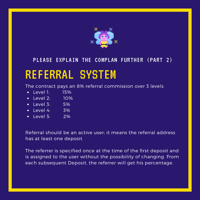

#### PLEASE EXPLAIN THE COMPLAN FURTHER (PART 2)

## REFERRAL SYSTEM

The contract pays an 8% referral commission over 3 levels

- $\bullet$  Level 1: 15%
- $\cdot$  Level 2: 10%
- $\bullet$  Level 3: 5%
- Level 4: 3%
- $\bullet$  Level 5: 2%

Referral should be an active user; it means the referral address has at least one deposit.

The referrer is specified once at the time of the first deposit and is assigned to the user without the possibility of changing. From each subsequent Deposit, the referrer will get his percentage.